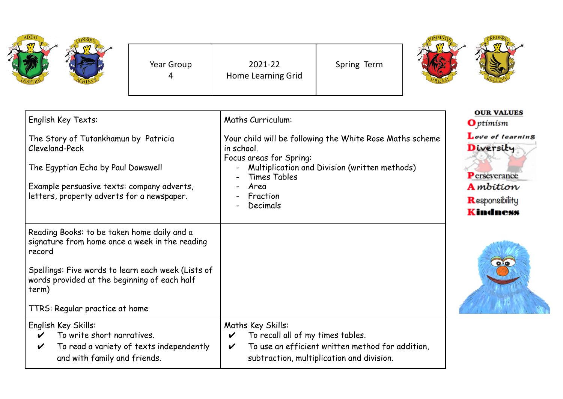| ADDC |            |                               |             |
|------|------------|-------------------------------|-------------|
|      | Year Group | 2021-22<br>Home Learning Grid | Spring Term |
|      |            |                               |             |



| English Key Texts:                                                                                                                                                                                                                                       | <b>Maths Curriculum:</b>                                                                                                                                                                                                       | <b>OUR VALUES</b><br><b>O</b> ptimism                                                                  |
|----------------------------------------------------------------------------------------------------------------------------------------------------------------------------------------------------------------------------------------------------------|--------------------------------------------------------------------------------------------------------------------------------------------------------------------------------------------------------------------------------|--------------------------------------------------------------------------------------------------------|
| The Story of Tutankhamun by Patricia<br>Cleveland-Peck<br>The Egyptian Echo by Paul Dowswell<br>Example persuasive texts: company adverts,<br>letters, property adverts for a newspaper.                                                                 | Your child will be following the White Rose Maths scheme<br>in school.<br>Focus areas for Spring:<br>Multiplication and Division (written methods)<br>Times Tables<br>Area<br>Fraction<br>Decimals<br>$\overline{\phantom{0}}$ | Love of learning<br>Diversity<br>Perseverance<br><b>A</b> mbition<br>Responsibility<br><b>Kindness</b> |
| Reading Books: to be taken home daily and a<br>signature from home once a week in the reading<br>record<br>Spellings: Five words to learn each week (Lists of<br>words provided at the beginning of each half<br>term)<br>TTRS: Regular practice at home |                                                                                                                                                                                                                                | $\bullet$                                                                                              |
| English Key Skills:<br>To write short narratives.<br>To read a variety of texts independently<br>V<br>and with family and friends.                                                                                                                       | Maths Key Skills:<br>To recall all of my times tables.<br>$\boldsymbol{\mathcal{U}}$<br>To use an efficient written method for addition,<br>V<br>subtraction, multiplication and division.                                     |                                                                                                        |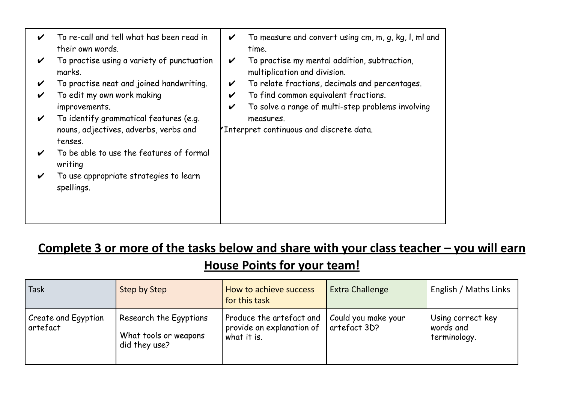| V | To re-call and tell what has been read in<br>their own words. | V | To measure and convert using cm, m, g, kg, l, ml and<br>time.                |
|---|---------------------------------------------------------------|---|------------------------------------------------------------------------------|
| V | To practise using a variety of punctuation<br>marks.          | V | To practise my mental addition, subtraction,<br>multiplication and division. |
| V | To practise neat and joined handwriting.                      | V | To relate fractions, decimals and percentages.                               |
| V | To edit my own work making                                    | V | To find common equivalent fractions.                                         |
|   | improvements.                                                 | V | To solve a range of multi-step problems involving                            |
| V | To identify grammatical features (e.g.                        |   | measures.                                                                    |
|   | nouns, adjectives, adverbs, verbs and<br>tenses.              |   | Thterpret continuous and discrete data.                                      |
| V | To be able to use the features of formal<br>writing           |   |                                                                              |
| V | To use appropriate strategies to learn<br>spellings.          |   |                                                                              |
|   |                                                               |   |                                                                              |

## **Complete 3 or more of the tasks below and share with your class teacher – you will earn House Points for your team!**

| <b>Task</b>                     | Step by Step                                                     | How to achieve success<br>for this task                              | Extra Challenge                     | English / Maths Links                          |
|---------------------------------|------------------------------------------------------------------|----------------------------------------------------------------------|-------------------------------------|------------------------------------------------|
| Create and Egyptian<br>artefact | Research the Egyptians<br>What tools or weapons<br>did they use? | Produce the artefact and<br>provide an explanation of<br>what it is. | Could you make your<br>artefact 3D? | Using correct key<br>words and<br>terminology. |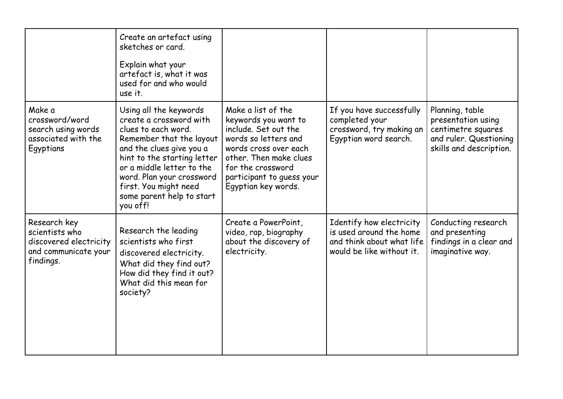|                                                                                               | Create an artefact using<br>sketches or card.<br>Explain what your<br>artefact is, what it was<br>used for and who would<br>use it.                                                                                                                                                         |                                                                                                                                                                                                                        |                                                                                                               |                                                                                                                  |
|-----------------------------------------------------------------------------------------------|---------------------------------------------------------------------------------------------------------------------------------------------------------------------------------------------------------------------------------------------------------------------------------------------|------------------------------------------------------------------------------------------------------------------------------------------------------------------------------------------------------------------------|---------------------------------------------------------------------------------------------------------------|------------------------------------------------------------------------------------------------------------------|
| Make a<br>crossword/word<br>search using words<br>associated with the<br>Egyptians            | Using all the keywords<br>create a crossword with<br>clues to each word.<br>Remember that the layout<br>and the clues give you a<br>hint to the starting letter<br>or a middle letter to the<br>word. Plan your crossword<br>first. You might need<br>some parent help to start<br>you off! | Make a list of the<br>keywords you want to<br>include. Set out the<br>words so letters and<br>words cross over each<br>other. Then make clues<br>for the crossword<br>participant to quess your<br>Egyptian key words. | If you have successfully<br>completed your<br>crossword, try making an<br>Egyptian word search.               | Planning, table<br>presentation using<br>centimetre squares<br>and ruler. Questioning<br>skills and description. |
| Research key<br>scientists who<br>discovered electricity<br>and communicate your<br>findings. | Research the leading<br>scientists who first<br>discovered electricity.<br>What did they find out?<br>How did they find it out?<br>What did this mean for<br>society?                                                                                                                       | Create a PowerPoint,<br>video, rap, biography<br>about the discovery of<br>electricity.                                                                                                                                | Identify how electricity<br>is used around the home<br>and think about what life<br>would be like without it. | Conducting research<br>and presenting<br>findings in a clear and<br>imaginative way.                             |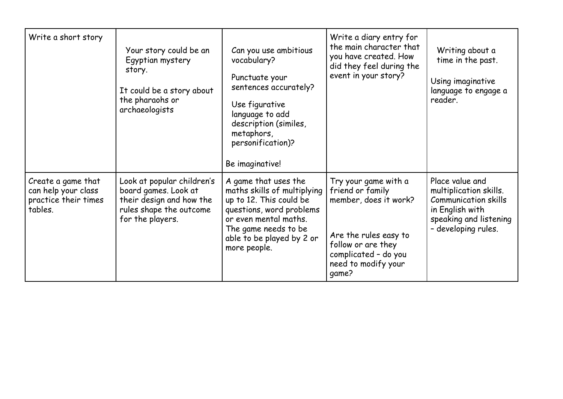| Write a short story                                                          | Your story could be an<br>Egyptian mystery<br>story.<br>It could be a story about<br>the pharaohs or<br>archaeologists        | Can you use ambitious<br>vocabulary?<br>Punctuate your<br>sentences accurately?<br>Use figurative<br>language to add<br>description (similes,<br>metaphors,<br>personification)?<br>Be imaginative!      | Write a diary entry for<br>the main character that<br>you have created. How<br>did they feel during the<br>event in your story?                                          | Writing about a<br>time in the past.<br>Using imaginative<br>language to engage a<br>reader.                                                 |
|------------------------------------------------------------------------------|-------------------------------------------------------------------------------------------------------------------------------|----------------------------------------------------------------------------------------------------------------------------------------------------------------------------------------------------------|--------------------------------------------------------------------------------------------------------------------------------------------------------------------------|----------------------------------------------------------------------------------------------------------------------------------------------|
| Create a game that<br>can help your class<br>practice their times<br>tables. | Look at popular children's<br>board games. Look at<br>their design and how the<br>rules shape the outcome<br>for the players. | A game that uses the<br>maths skills of multiplying<br>up to 12. This could be<br>questions, word problems<br>or even mental maths.<br>The game needs to be<br>able to be played by 2 or<br>more people. | Try your game with a<br>friend or family<br>member, does it work?<br>Are the rules easy to<br>follow or are they<br>complicated - do you<br>need to modify your<br>qame? | Place value and<br>multiplication skills.<br><b>Communication skills</b><br>in English with<br>speaking and listening<br>- developing rules. |